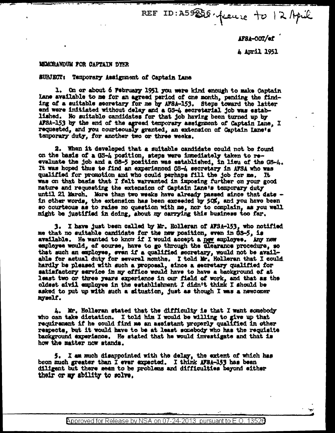REF ID: A59256. france to 12 April

AFSA-OOT/ef

4 April 1951

## MEMORANDUM FOR CAPTAIN DYER

## subject: Temporary Assignment of Captain Lane

1. On or about 6 February 1951 you were kind enough to make Captain Lane available to me for an agreed period of one month, pending the finding of a suitable secretary for me by AFSA-153. Steps toward the latter end were initiated without delay and a GS-4 secretarial job was established. No suitable candidates for that job having been turned up by AFSA-153 by the end of the agreed temporary assignment of Captain Lane, I requested, and you courteously granted, an extension of Captain Lane's temporary duty. for another two or three weeks.

2. When it developed that a suitable candidate could not be found on the basis of a GS-4 position, steps were immediately taken to re-<br>evaluate the job and a GS-5 position was established, in lieu of the GS-4. It was hoped thus to find an experienced GS-4 secretary in AFSA who was qualified for promotion and who could perhaps fill the job for me. It was on that basis that I felt warranted in imposing further on your good nature and requesting the extension of Captain Lane's temporary duty until 21 March. More than two weeks have already passed since that date in other words, the extension has been exceeded by 50%, and you have been so courteous as to raise no question with me, nor to complain, as you well might be justified in doing, about my carrying this business too far.

3. I have just been called by Mr. Holleran of AFSA-153, who notified me that no suitable candidate for the new position, www. in GS-5, is available. He wanted to know if I would accept a new amployee. Any new employee would, of course, have to go through the clearance procedure, so that such an employee, even if a qualified secretary, would not be available for actual duty for several months. I told Mr. Holleran that I could hardly be pleased with such a proposal, since a secretary qualified for satisfactory service in my office would have to have a background of at least two or three years experience in our field of work, and that as the oldest sivil employee in the establishment I didn't think I should be asked to put up with such a situation, just as though I was a newcomer myself.

4. Mr. Holleran stated that the difficulty is that I want somebody who can take dictation. I told him I would be willing to give up that requirement if he could find me an assistant properly qualified in other respects, but it would have to be at least schedody who has the requisite background experience. He stated that he would investigate and that is how the matter now atands.

5. I am much disappointed with the delay, the extent of which has been much greater than I ever expected. I think AFSA-153 has been diligent but there seem to be problems and difficulties beyond either their or my ability to solve.